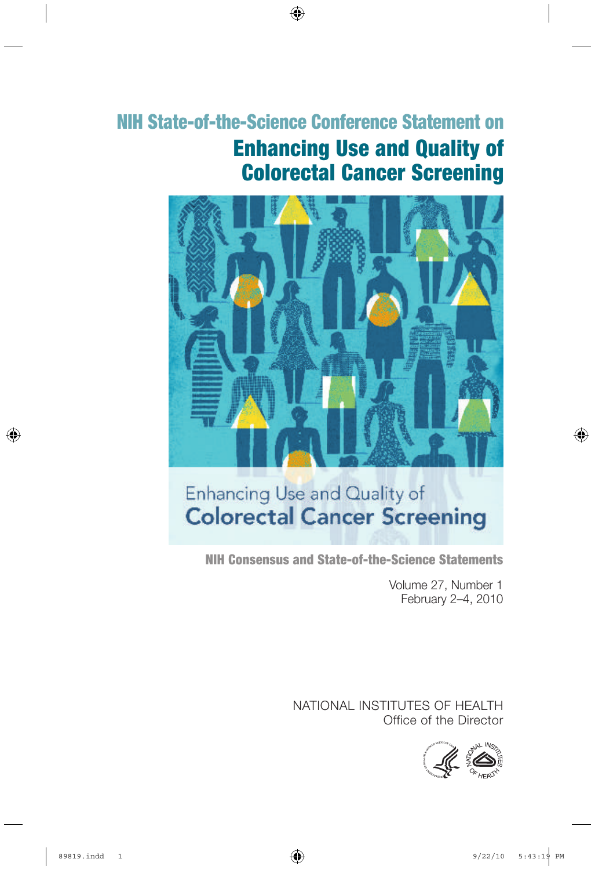# Enhancing Use and Quality of Colorectal Cancer Screening NIH State-of-the-Science Conference Statement on



# Enhancing Use and Quality of **Colorectal Cancer Screening**

NIH Consensus and State-of-the-Science Statements

Volume 27, Number 1 February 2–4, 2010

NATIONAL INSTITUTES OF HEALTH Office of the Director

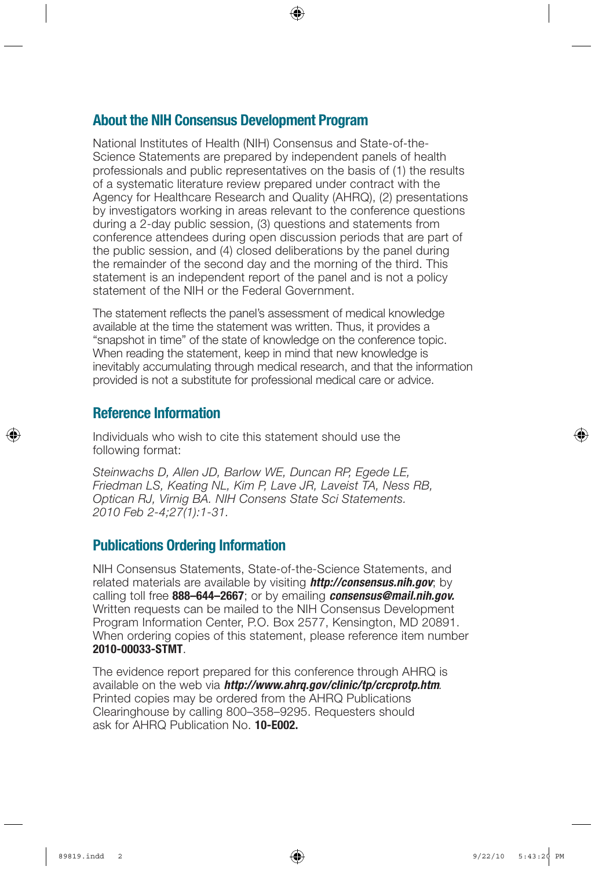### About the NIH Consensus Development Program

National Institutes of Health (NIH) Consensus and State-of-the-Science Statements are prepared by independent panels of health professionals and public representatives on the basis of (1) the results of a systematic literature review prepared under contract with the Agency for Healthcare Research and Quality (AHRQ), (2) presentations by investigators working in areas relevant to the conference questions during a 2-day public session, (3) questions and statements from conference attendees during open discussion periods that are part of the public session, and (4) closed deliberations by the panel during the remainder of the second day and the morning of the third. This statement is an independent report of the panel and is not a policy statement of the NIH or the Federal Government.

The statement reflects the panel's assessment of medical knowledge available at the time the statement was written. Thus, it provides a "snapshot in time" of the state of knowledge on the conference topic. When reading the statement, keep in mind that new knowledge is inevitably accumulating through medical research, and that the information provided is not a substitute for professional medical care or advice.

### Reference Information

Individuals who wish to cite this statement should use the following format:

*Steinwachs D, Allen JD, Barlow WE, Duncan RP, Egede LE, Friedman LS, Keating NL, Kim P, Lave JR, Laveist TA, Ness RB, Optican RJ, Virnig BA. NIH Consens State Sci Statements. 2010 Feb 2-4;27(1):1-31.*

### Publications Ordering Information

NIH Consensus Statements, State-of-the-Science Statements, and related materials are available by visiting *http://consensus.nih.gov*; by calling toll free 888–644–2667; or by emailing *consensus@mail.nih.gov.* Written requests can be mailed to the NIH Consensus Development Program Information Center, P.O. Box 2577, Kensington, MD 20891. When ordering copies of this statement, please reference item number 2010-00033-STMT.

The evidence report prepared for this conference through AHRQ is available on the web via *http://www.ahrq.gov/clinic/tp/crcprotp.htm.* Printed copies may be ordered from the AHRQ Publications Clearinghouse by calling 800–358–9295. Requesters should ask for AHRQ Publication No. 10-E002.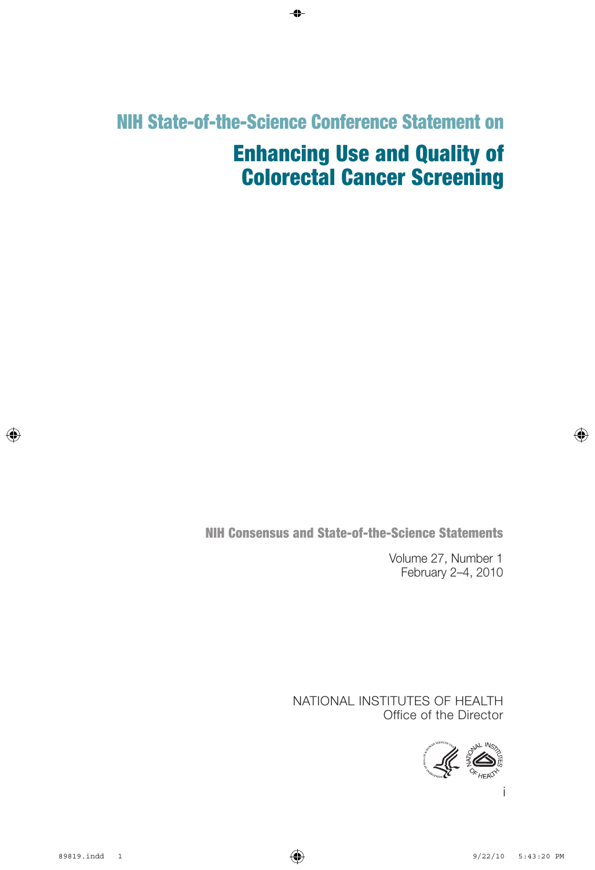# NIH State-of-the-Science Conference Statement on

# Enhancing Use and Quality of Colorectal Cancer Screening

NIH Consensus and State-of-the-Science Statements

Volume 27, Number 1 February 2–4, 2010

NATIONAL INSTITUTES OF HEALTH Office of the Director

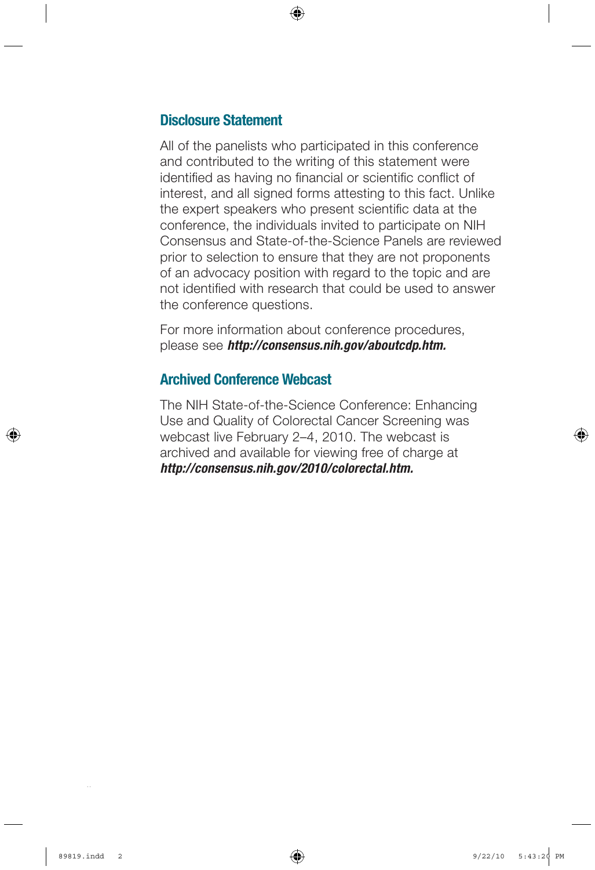### Disclosure Statement

All of the panelists who participated in this conference and contributed to the writing of this statement were identified as having no financial or scientific conflict of interest, and all signed forms attesting to this fact. Unlike the expert speakers who present scientific data at the conference, the individuals invited to participate on NIH Consensus and State-of-the-Science Panels are reviewed prior to selection to ensure that they are not proponents of an advocacy position with regard to the topic and are not identified with research that could be used to answer the conference questions.

For more information about conference procedures, please see *http://consensus.nih.gov/aboutcdp.htm.*

### Archived Conference Webcast

The NIH State-of-the-Science Conference: Enhancing Use and Quality of Colorectal Cancer Screening was webcast live February 2–4, 2010. The webcast is archived and available for viewing free of charge at *http://consensus.nih.gov/2010/colorectal.htm.*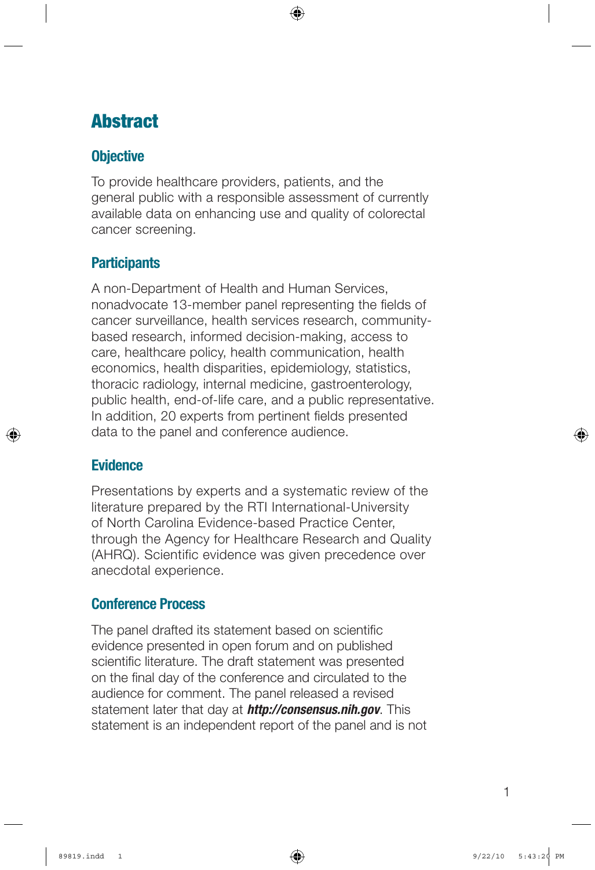# **Abstract**

## **Objective**

To provide healthcare providers, patients, and the general public with a responsible assessment of currently available data on enhancing use and quality of colorectal cancer screening.

## **Participants**

A non-Department of Health and Human Services, nonadvocate 13-member panel representing the fields of cancer surveillance, health services research, communitybased research, informed decision-making, access to care, healthcare policy, health communication, health economics, health disparities, epidemiology, statistics, thoracic radiology, internal medicine, gastroenterology, public health, end-of-life care, and a public representative. In addition, 20 experts from pertinent fields presented data to the panel and conference audience.

## **Evidence**

Presentations by experts and a systematic review of the literature prepared by the RTI International-University of North Carolina Evidence-based Practice Center, through the Agency for Healthcare Research and Quality (AHRQ). Scientific evidence was given precedence over anecdotal experience.

## Conference Process

The panel drafted its statement based on scientific evidence presented in open forum and on published scientific literature. The draft statement was presented on the final day of the conference and circulated to the audience for comment. The panel released a revised statement later that day at *http://consensus.nih.gov*. This statement is an independent report of the panel and is not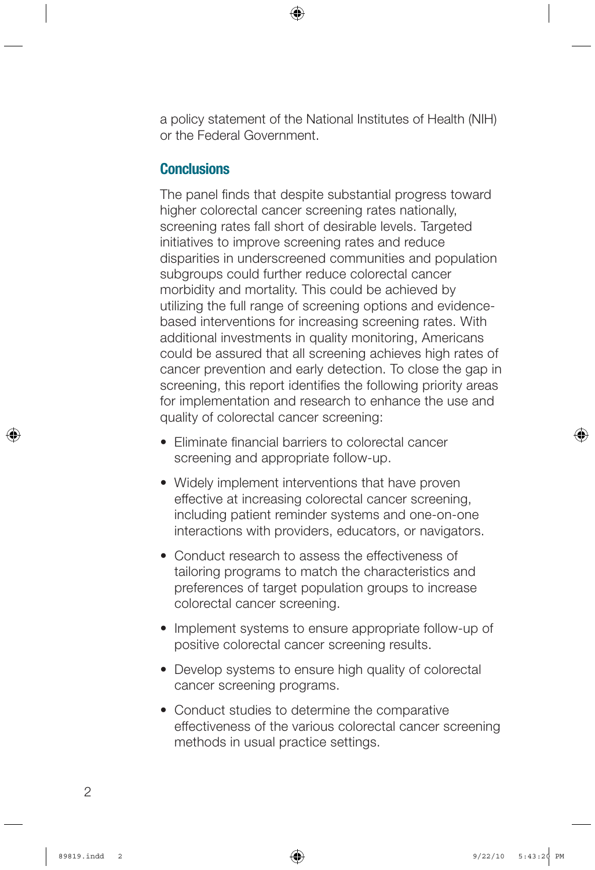a policy statement of the National Institutes of Health (NIH) or the Federal Government.

### **Conclusions**

The panel finds that despite substantial progress toward higher colorectal cancer screening rates nationally, screening rates fall short of desirable levels. Targeted initiatives to improve screening rates and reduce disparities in underscreened communities and population subgroups could further reduce colorectal cancer morbidity and mortality. This could be achieved by utilizing the full range of screening options and evidencebased interventions for increasing screening rates. With additional investments in quality monitoring, Americans could be assured that all screening achieves high rates of cancer prevention and early detection. To close the gap in screening, this report identifies the following priority areas for implementation and research to enhance the use and quality of colorectal cancer screening:

- Fliminate financial barriers to colorectal cancer screening and appropriate follow-up.
- Widely implement interventions that have proven effective at increasing colorectal cancer screening, including patient reminder systems and one-on-one interactions with providers, educators, or navigators.
- Conduct research to assess the effectiveness of tailoring programs to match the characteristics and preferences of target population groups to increase colorectal cancer screening.
- Implement systems to ensure appropriate follow-up of positive colorectal cancer screening results.
- Develop systems to ensure high quality of colorectal cancer screening programs.
- Conduct studies to determine the comparative effectiveness of the various colorectal cancer screening methods in usual practice settings.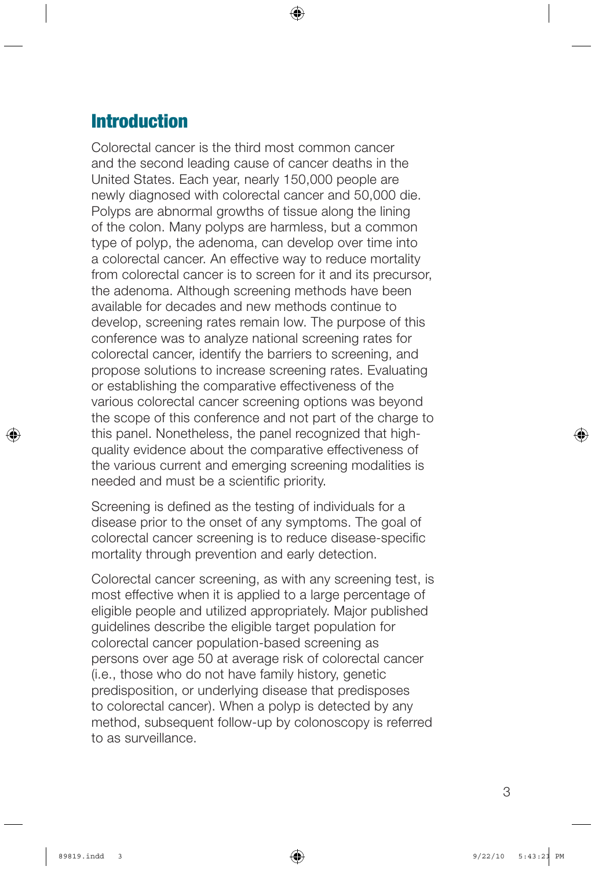## **Introduction**

Colorectal cancer is the third most common cancer and the second leading cause of cancer deaths in the United States. Each year, nearly 150,000 people are newly diagnosed with colorectal cancer and 50,000 die. Polyps are abnormal growths of tissue along the lining of the colon. Many polyps are harmless, but a common type of polyp, the adenoma, can develop over time into a colorectal cancer. An effective way to reduce mortality from colorectal cancer is to screen for it and its precursor, the adenoma. Although screening methods have been available for decades and new methods continue to develop, screening rates remain low. The purpose of this conference was to analyze national screening rates for colorectal cancer, identify the barriers to screening, and propose solutions to increase screening rates. Evaluating or establishing the comparative effectiveness of the various colorectal cancer screening options was beyond the scope of this conference and not part of the charge to this panel. Nonetheless, the panel recognized that highquality evidence about the comparative effectiveness of the various current and emerging screening modalities is needed and must be a scientific priority.

Screening is defined as the testing of individuals for a disease prior to the onset of any symptoms. The goal of colorectal cancer screening is to reduce disease-specific mortality through prevention and early detection.

Colorectal cancer screening, as with any screening test, is most effective when it is applied to a large percentage of eligible people and utilized appropriately. Major published guidelines describe the eligible target population for colorectal cancer population-based screening as persons over age 50 at average risk of colorectal cancer (i.e., those who do not have family history, genetic predisposition, or underlying disease that predisposes to colorectal cancer). When a polyp is detected by any method, subsequent follow-up by colonoscopy is referred to as surveillance.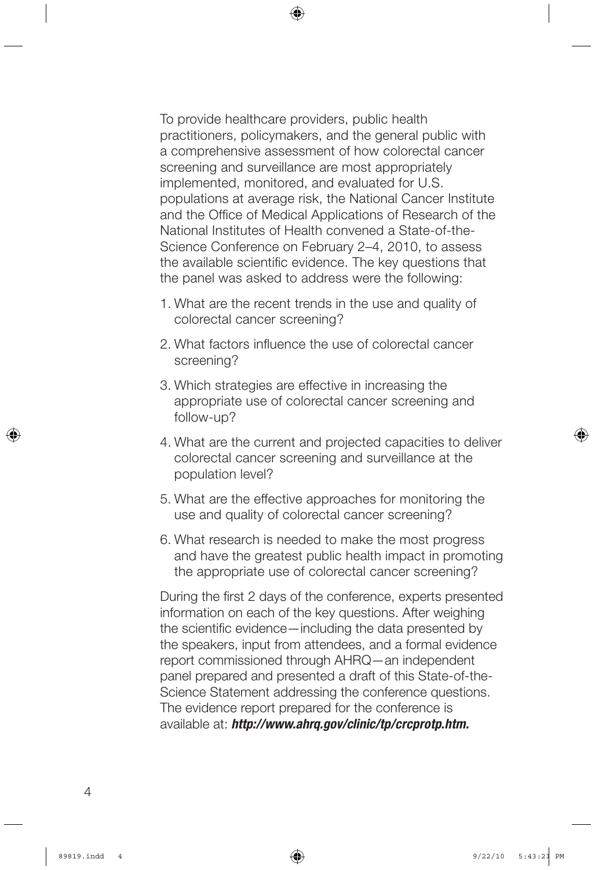To provide healthcare providers, public health practitioners, policymakers, and the general public with a comprehensive assessment of how colorectal cancer screening and surveillance are most appropriately implemented, monitored, and evaluated for U.S. populations at average risk, the National Cancer Institute and the Office of Medical Applications of Research of the National Institutes of Health convened a State-of-the-Science Conference on February 2–4, 2010, to assess the available scientific evidence. The key questions that the panel was asked to address were the following:

- 1. What are the recent trends in the use and quality of colorectal cancer screening?
- 2. What factors influence the use of colorectal cancer screening?
- 3. Which strategies are effective in increasing the appropriate use of colorectal cancer screening and follow-up?
- 4. What are the current and projected capacities to deliver colorectal cancer screening and surveillance at the population level?
- 5. What are the effective approaches for monitoring the use and quality of colorectal cancer screening?
- 6. What research is needed to make the most progress and have the greatest public health impact in promoting the appropriate use of colorectal cancer screening?

During the first 2 days of the conference, experts presented information on each of the key questions. After weighing the scientific evidence—including the data presented by the speakers, input from attendees, and a formal evidence report commissioned through AHRQ—an independent panel prepared and presented a draft of this State-of-the-Science Statement addressing the conference questions. The evidence report prepared for the conference is available at: *http://www.ahrq.gov/clinic/tp/crcprotp.htm.*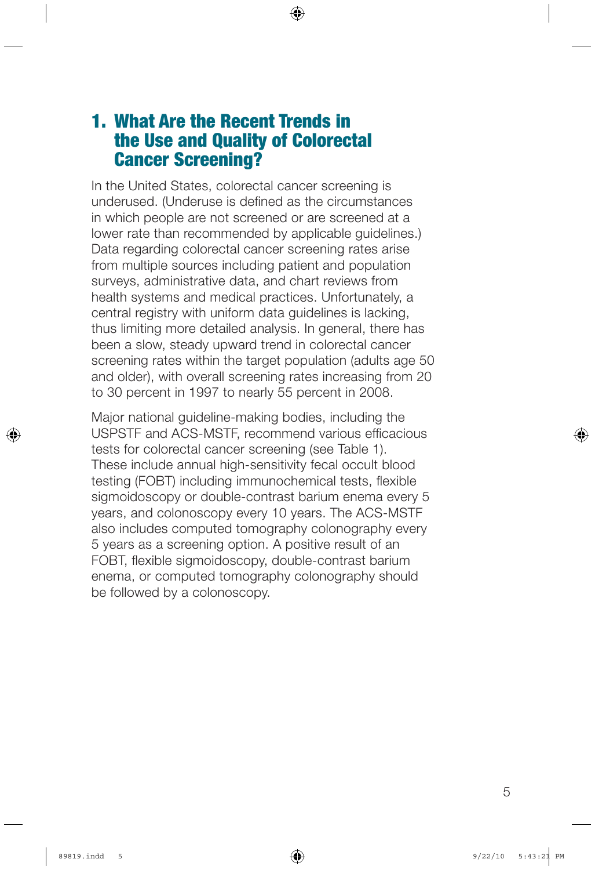## 1. What Are the Recent Trends in the Use and Quality of Colorectal Cancer Screening?

In the United States, colorectal cancer screening is underused. (Underuse is defined as the circumstances in which people are not screened or are screened at a lower rate than recommended by applicable guidelines.) Data regarding colorectal cancer screening rates arise from multiple sources including patient and population surveys, administrative data, and chart reviews from health systems and medical practices. Unfortunately, a central registry with uniform data guidelines is lacking, thus limiting more detailed analysis. In general, there has been a slow, steady upward trend in colorectal cancer screening rates within the target population (adults age 50 and older), with overall screening rates increasing from 20 to 30 percent in 1997 to nearly 55 percent in 2008.

Major national guideline-making bodies, including the USPSTF and ACS-MSTF, recommend various efficacious tests for colorectal cancer screening (see Table 1). These include annual high-sensitivity fecal occult blood testing (FOBT) including immunochemical tests, flexible sigmoidoscopy or double-contrast barium enema every 5 years, and colonoscopy every 10 years. The ACS-MSTF also includes computed tomography colonography every 5 years as a screening option. A positive result of an FOBT, flexible sigmoidoscopy, double-contrast barium enema, or computed tomography colonography should be followed by a colonoscopy.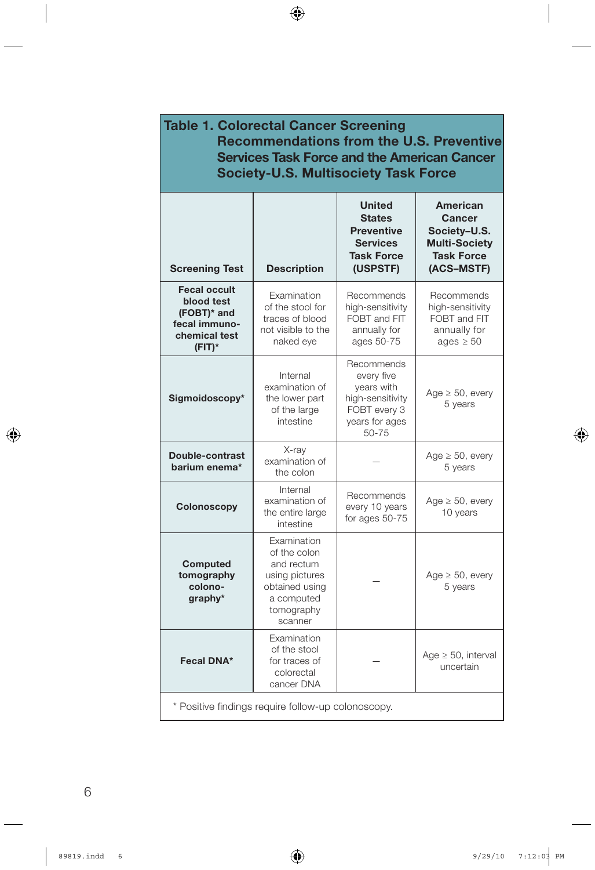| <b>Table 1. Colorectal Cancer Screening</b><br><b>Recommendations from the U.S. Preventive</b><br><b>Services Task Force and the American Cancer</b><br><b>Society-U.S. Multisociety Task Force</b> |                                                                                                                      |                                                                                                           |                                                                                                      |
|-----------------------------------------------------------------------------------------------------------------------------------------------------------------------------------------------------|----------------------------------------------------------------------------------------------------------------------|-----------------------------------------------------------------------------------------------------------|------------------------------------------------------------------------------------------------------|
| <b>Screening Test</b>                                                                                                                                                                               | <b>Description</b>                                                                                                   | <b>United</b><br><b>States</b><br><b>Preventive</b><br><b>Services</b><br><b>Task Force</b><br>(USPSTF)   | <b>American</b><br>Cancer<br>Society-U.S.<br><b>Multi-Society</b><br><b>Task Force</b><br>(ACS-MSTF) |
| <b>Fecal occult</b><br>blood test<br>(FOBT)* and<br>fecal immuno-<br>chemical test<br>$(FIT)^*$                                                                                                     | Examination<br>of the stool for<br>traces of blood<br>not visible to the<br>naked eye                                | Recommends<br>high-sensitivity<br>FOBT and FIT<br>annually for<br>ages 50-75                              | Recommends<br>high-sensitivity<br>FOBT and FIT<br>annually for<br>ages $\geq 50$                     |
| Sigmoidoscopy*                                                                                                                                                                                      | Internal<br>examination of<br>the lower part<br>of the large<br>intestine                                            | Recommends<br>every five<br>years with<br>high-sensitivity<br>FOBT every 3<br>years for ages<br>$50 - 75$ | Age $\geq$ 50, every<br>5 years                                                                      |
| Double-contrast<br>barium enema*                                                                                                                                                                    | X-ray<br>examination of<br>the colon                                                                                 |                                                                                                           | Age $\geq 50$ , every<br>5 years                                                                     |
| Colonoscopy                                                                                                                                                                                         | Internal<br>examination of<br>the entire large<br>intestine                                                          | Recommends<br>every 10 years<br>for ages 50-75                                                            | Age $\geq$ 50, every<br>10 years                                                                     |
| Computed<br>tomography<br>colono-<br>graphy*                                                                                                                                                        | Examination<br>of the colon<br>and rectum<br>using pictures<br>obtained using<br>a computed<br>tomography<br>scanner |                                                                                                           | Age $\geq$ 50, every<br>5 years                                                                      |
| Fecal DNA*                                                                                                                                                                                          | Examination<br>of the stool<br>for traces of<br>colorectal<br>cancer DNA                                             |                                                                                                           | Age $\geq$ 50, interval<br>uncertain                                                                 |
| * Positive findings require follow-up colonoscopy.                                                                                                                                                  |                                                                                                                      |                                                                                                           |                                                                                                      |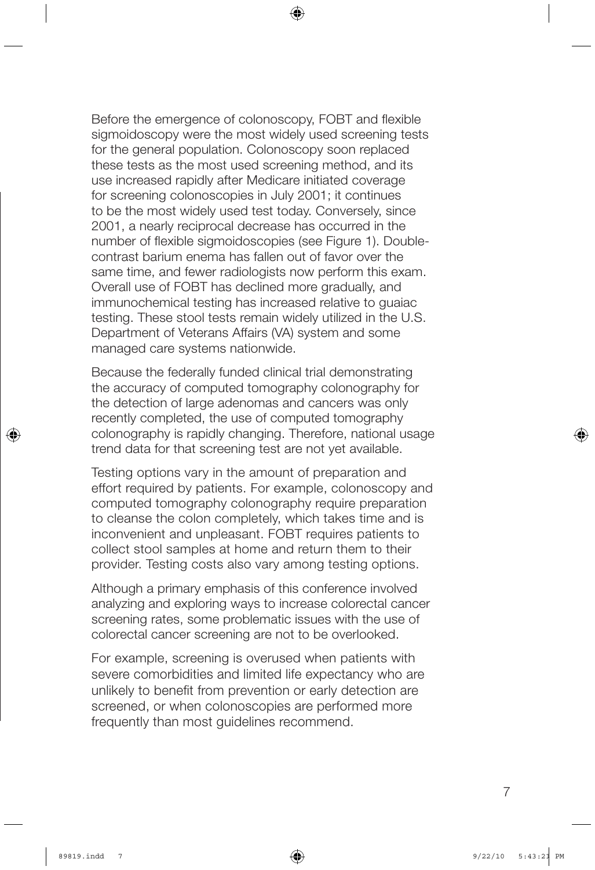Before the emergence of colonoscopy, FOBT and flexible sigmoidoscopy were the most widely used screening tests for the general population. Colonoscopy soon replaced these tests as the most used screening method, and its use increased rapidly after Medicare initiated coverage for screening colonoscopies in July 2001; it continues to be the most widely used test today. Conversely, since 2001, a nearly reciprocal decrease has occurred in the number of flexible sigmoidoscopies (see Figure 1). Doublecontrast barium enema has fallen out of favor over the same time, and fewer radiologists now perform this exam. Overall use of FOBT has declined more gradually, and immunochemical testing has increased relative to guaiac testing. These stool tests remain widely utilized in the U.S. Department of Veterans Affairs (VA) system and some managed care systems nationwide.

Because the federally funded clinical trial demonstrating the accuracy of computed tomography colonography for the detection of large adenomas and cancers was only recently completed, the use of computed tomography colonography is rapidly changing. Therefore, national usage trend data for that screening test are not yet available.

Testing options vary in the amount of preparation and effort required by patients. For example, colonoscopy and computed tomography colonography require preparation to cleanse the colon completely, which takes time and is inconvenient and unpleasant. FOBT requires patients to collect stool samples at home and return them to their provider. Testing costs also vary among testing options.

Although a primary emphasis of this conference involved analyzing and exploring ways to increase colorectal cancer screening rates, some problematic issues with the use of colorectal cancer screening are not to be overlooked.

For example, screening is overused when patients with severe comorbidities and limited life expectancy who are unlikely to benefit from prevention or early detection are screened, or when colonoscopies are performed more frequently than most guidelines recommend.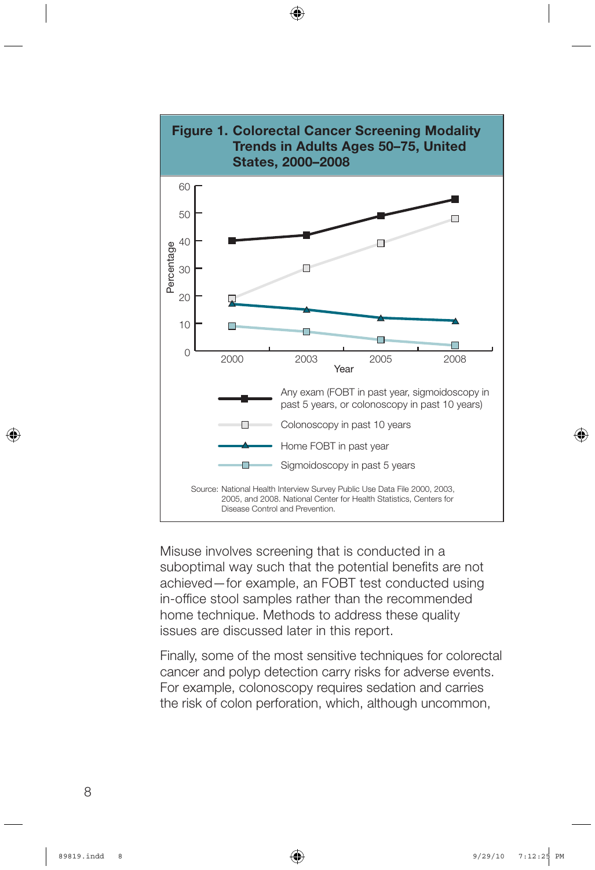

Misuse involves screening that is conducted in a suboptimal way such that the potential benefits are not achieved—for example, an FOBT test conducted using in-office stool samples rather than the recommended home technique. Methods to address these quality issues are discussed later in this report.

Finally, some of the most sensitive techniques for colorectal cancer and polyp detection carry risks for adverse events. For example, colonoscopy requires sedation and carries the risk of colon perforation, which, although uncommon,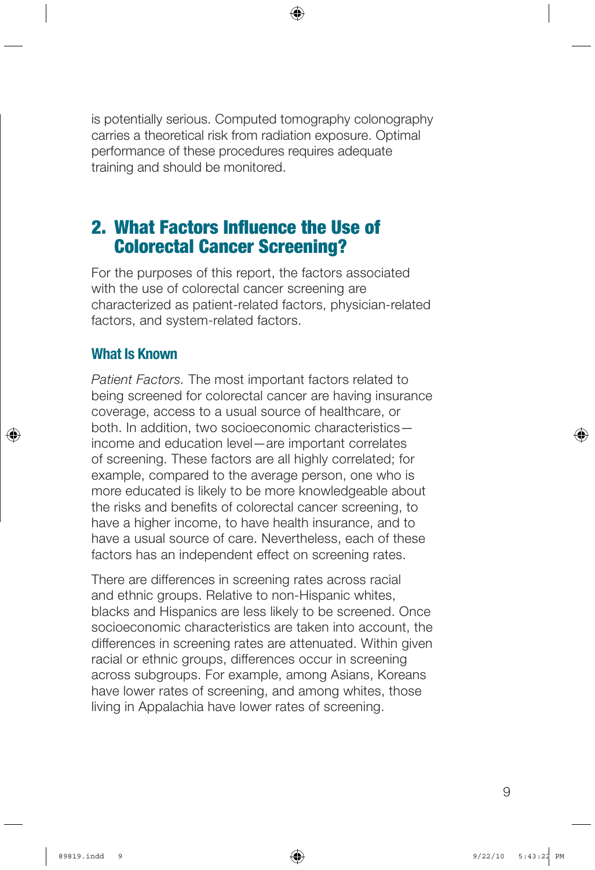is potentially serious. Computed tomography colonography carries a theoretical risk from radiation exposure. Optimal performance of these procedures requires adequate training and should be monitored.

## 2. What Factors Influence the Use of Colorectal Cancer Screening?

For the purposes of this report, the factors associated with the use of colorectal cancer screening are characterized as patient-related factors, physician-related factors, and system-related factors.

## What Is Known

*Patient Factors.* The most important factors related to being screened for colorectal cancer are having insurance coverage, access to a usual source of healthcare, or both. In addition, two socioeconomic characteristics income and education level—are important correlates of screening. These factors are all highly correlated; for example, compared to the average person, one who is more educated is likely to be more knowledgeable about the risks and benefits of colorectal cancer screening, to have a higher income, to have health insurance, and to have a usual source of care. Nevertheless, each of these factors has an independent effect on screening rates.

There are differences in screening rates across racial and ethnic groups. Relative to non-Hispanic whites, blacks and Hispanics are less likely to be screened. Once socioeconomic characteristics are taken into account, the differences in screening rates are attenuated. Within given racial or ethnic groups, differences occur in screening across subgroups. For example, among Asians, Koreans have lower rates of screening, and among whites, those living in Appalachia have lower rates of screening.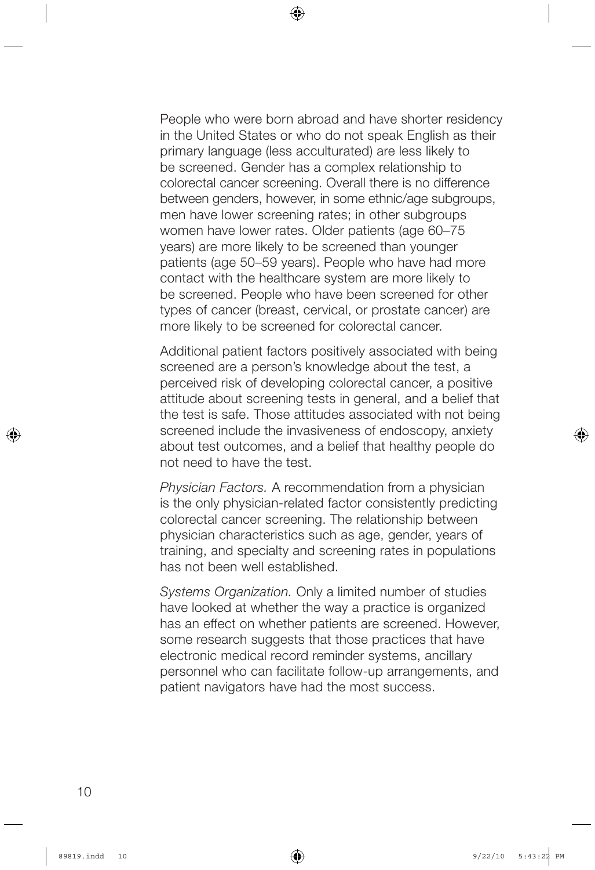People who were born abroad and have shorter residency in the United States or who do not speak English as their primary language (less acculturated) are less likely to be screened. Gender has a complex relationship to colorectal cancer screening. Overall there is no difference between genders, however, in some ethnic/age subgroups, men have lower screening rates; in other subgroups women have lower rates. Older patients (age 60–75 years) are more likely to be screened than younger patients (age 50–59 years). People who have had more contact with the healthcare system are more likely to be screened. People who have been screened for other types of cancer (breast, cervical, or prostate cancer) are more likely to be screened for colorectal cancer.

Additional patient factors positively associated with being screened are a person's knowledge about the test, a perceived risk of developing colorectal cancer, a positive attitude about screening tests in general, and a belief that the test is safe. Those attitudes associated with not being screened include the invasiveness of endoscopy, anxiety about test outcomes, and a belief that healthy people do not need to have the test.

*Physician Factors.* A recommendation from a physician is the only physician-related factor consistently predicting colorectal cancer screening. The relationship between physician characteristics such as age, gender, years of training, and specialty and screening rates in populations has not been well established.

*Systems Organization.* Only a limited number of studies have looked at whether the way a practice is organized has an effect on whether patients are screened. However, some research suggests that those practices that have electronic medical record reminder systems, ancillary personnel who can facilitate follow-up arrangements, and patient navigators have had the most success.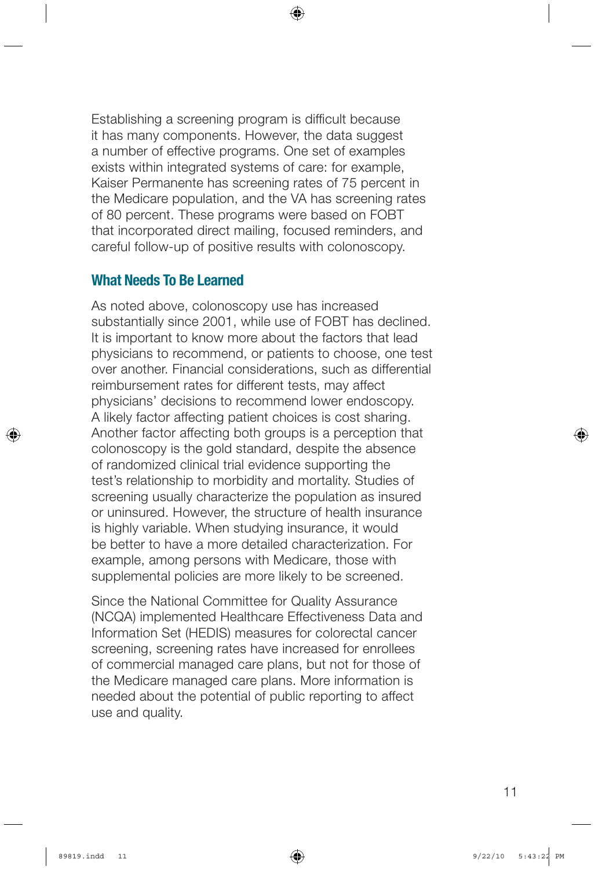Establishing a screening program is difficult because it has many components. However, the data suggest a number of effective programs. One set of examples exists within integrated systems of care: for example, Kaiser Permanente has screening rates of 75 percent in the Medicare population, and the VA has screening rates of 80 percent. These programs were based on FOBT that incorporated direct mailing, focused reminders, and careful follow-up of positive results with colonoscopy.

### What Needs To Be Learned

As noted above, colonoscopy use has increased substantially since 2001, while use of FOBT has declined. It is important to know more about the factors that lead physicians to recommend, or patients to choose, one test over another. Financial considerations, such as differential reimbursement rates for different tests, may affect physicians' decisions to recommend lower endoscopy. A likely factor affecting patient choices is cost sharing. Another factor affecting both groups is a perception that colonoscopy is the gold standard, despite the absence of randomized clinical trial evidence supporting the test's relationship to morbidity and mortality. Studies of screening usually characterize the population as insured or uninsured. However, the structure of health insurance is highly variable. When studying insurance, it would be better to have a more detailed characterization. For example, among persons with Medicare, those with supplemental policies are more likely to be screened.

Since the National Committee for Quality Assurance (NCQA) implemented Healthcare Effectiveness Data and Information Set (HEDIS) measures for colorectal cancer screening, screening rates have increased for enrollees of commercial managed care plans, but not for those of the Medicare managed care plans. More information is needed about the potential of public reporting to affect use and quality.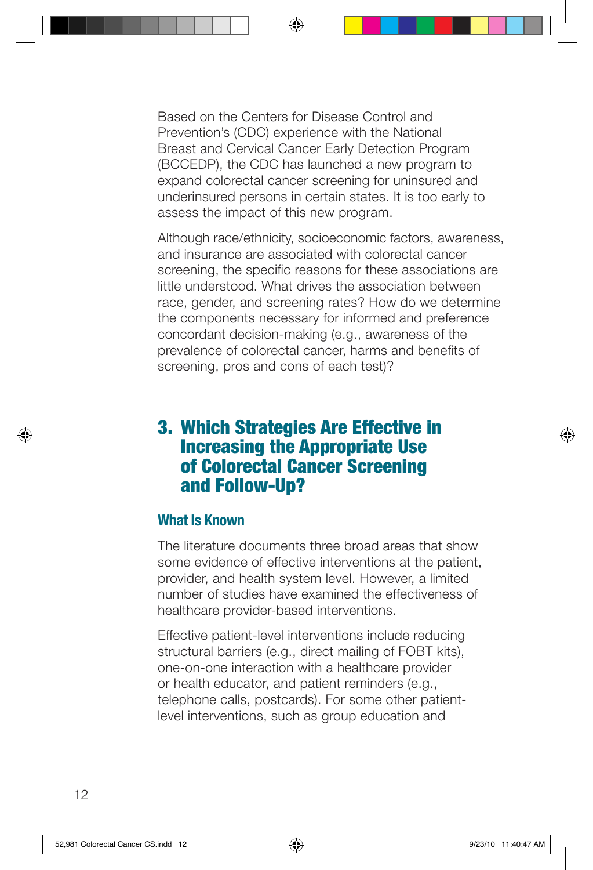Based on the Centers for Disease Control and Prevention's (CDC) experience with the National Breast and Cervical Cancer Early Detection Program (BCCEDP), the CDC has launched a new program to expand colorectal cancer screening for uninsured and underinsured persons in certain states. It is too early to assess the impact of this new program.

Although race/ethnicity, socioeconomic factors, awareness, and insurance are associated with colorectal cancer screening, the specific reasons for these associations are little understood. What drives the association between race, gender, and screening rates? How do we determine the components necessary for informed and preference concordant decision-making (e.g., awareness of the prevalence of colorectal cancer, harms and benefits of screening, pros and cons of each test)?

## 3. Which Strategies Are Effective in Increasing the Appropriate Use of Colorectal Cancer Screening and Follow-Up?

### What Is Known

The literature documents three broad areas that show some evidence of effective interventions at the patient, provider, and health system level. However, a limited number of studies have examined the effectiveness of healthcare provider-based interventions.

Effective patient-level interventions include reducing structural barriers (e.g., direct mailing of FOBT kits), one-on-one interaction with a healthcare provider or health educator, and patient reminders (e.g., telephone calls, postcards). For some other patientlevel interventions, such as group education and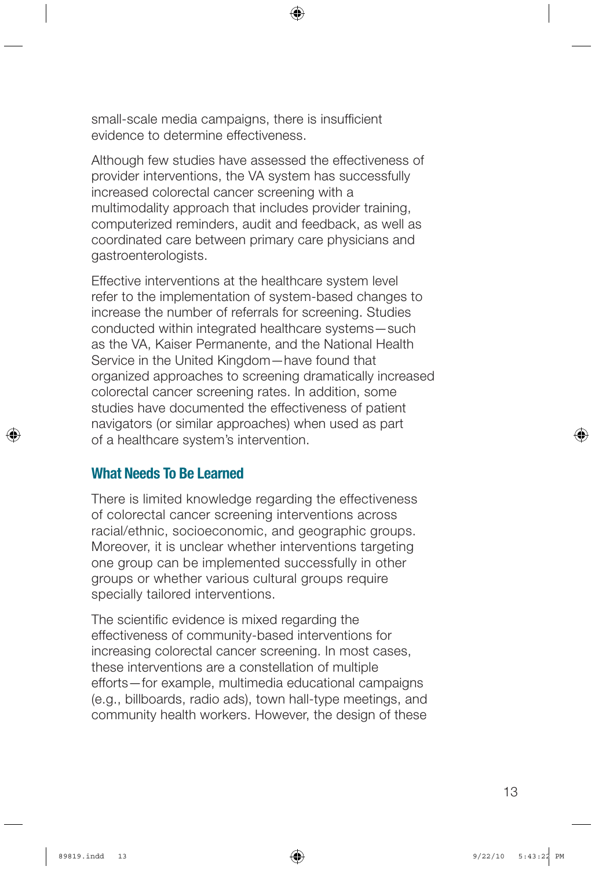small-scale media campaigns, there is insufficient evidence to determine effectiveness.

Although few studies have assessed the effectiveness of provider interventions, the VA system has successfully increased colorectal cancer screening with a multimodality approach that includes provider training, computerized reminders, audit and feedback, as well as coordinated care between primary care physicians and gastroenterologists.

Effective interventions at the healthcare system level refer to the implementation of system-based changes to increase the number of referrals for screening. Studies conducted within integrated healthcare systems—such as the VA, Kaiser Permanente, and the National Health Service in the United Kingdom—have found that organized approaches to screening dramatically increased colorectal cancer screening rates. In addition, some studies have documented the effectiveness of patient navigators (or similar approaches) when used as part of a healthcare system's intervention.

### What Needs To Be Learned

There is limited knowledge regarding the effectiveness of colorectal cancer screening interventions across racial/ethnic, socioeconomic, and geographic groups. Moreover, it is unclear whether interventions targeting one group can be implemented successfully in other groups or whether various cultural groups require specially tailored interventions.

The scientific evidence is mixed regarding the effectiveness of community-based interventions for increasing colorectal cancer screening. In most cases, these interventions are a constellation of multiple efforts—for example, multimedia educational campaigns (e.g., billboards, radio ads), town hall-type meetings, and community health workers. However, the design of these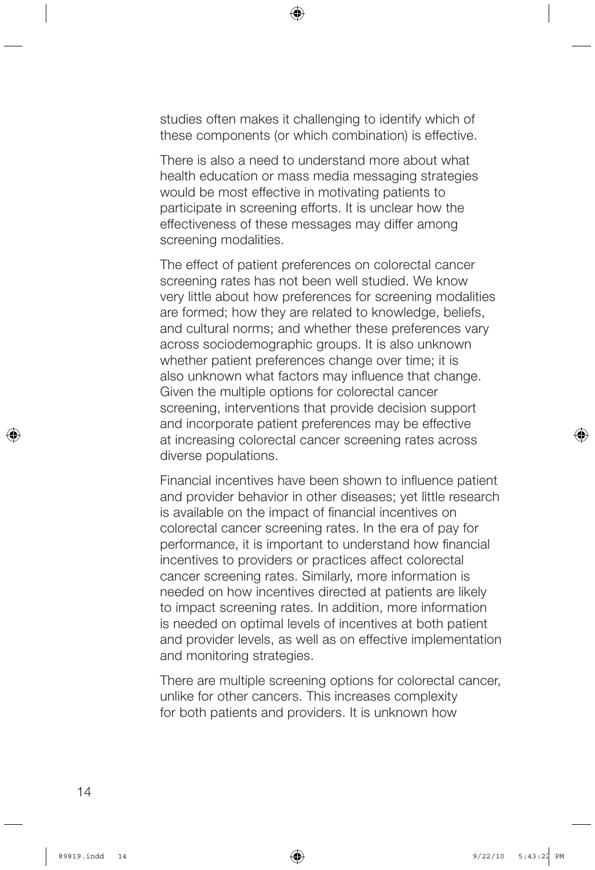studies often makes it challenging to identify which of these components (or which combination) is effective.

There is also a need to understand more about what health education or mass media messaging strategies would be most effective in motivating patients to participate in screening efforts. It is unclear how the effectiveness of these messages may differ among screening modalities.

The effect of patient preferences on colorectal cancer screening rates has not been well studied. We know very little about how preferences for screening modalities are formed; how they are related to knowledge, beliefs, and cultural norms; and whether these preferences vary across sociodemographic groups. It is also unknown whether patient preferences change over time; it is also unknown what factors may influence that change. Given the multiple options for colorectal cancer screening, interventions that provide decision support and incorporate patient preferences may be effective at increasing colorectal cancer screening rates across diverse populations.

Financial incentives have been shown to influence patient and provider behavior in other diseases; yet little research is available on the impact of financial incentives on colorectal cancer screening rates. In the era of pay for performance, it is important to understand how financial incentives to providers or practices affect colorectal cancer screening rates. Similarly, more information is needed on how incentives directed at patients are likely to impact screening rates. In addition, more information is needed on optimal levels of incentives at both patient and provider levels, as well as on effective implementation and monitoring strategies.

There are multiple screening options for colorectal cancer, unlike for other cancers. This increases complexity for both patients and providers. It is unknown how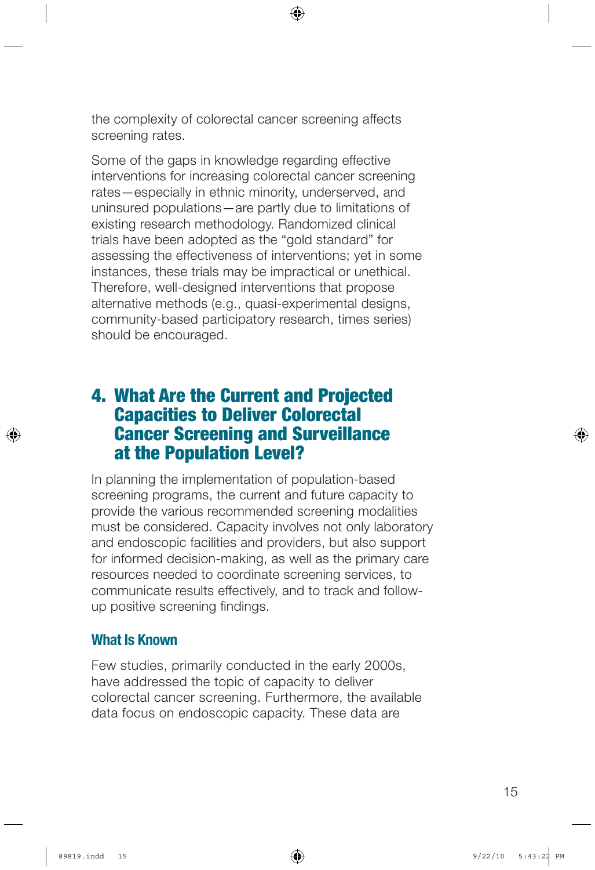the complexity of colorectal cancer screening affects screening rates.

Some of the gaps in knowledge regarding effective interventions for increasing colorectal cancer screening rates—especially in ethnic minority, underserved, and uninsured populations—are partly due to limitations of existing research methodology. Randomized clinical trials have been adopted as the "gold standard" for assessing the effectiveness of interventions; yet in some instances, these trials may be impractical or unethical. Therefore, well-designed interventions that propose alternative methods (e.g., quasi-experimental designs, community-based participatory research, times series) should be encouraged.

## 4. What Are the Current and Projected Capacities to Deliver Colorectal Cancer Screening and Surveillance at the Population Level?

In planning the implementation of population-based screening programs, the current and future capacity to provide the various recommended screening modalities must be considered. Capacity involves not only laboratory and endoscopic facilities and providers, but also support for informed decision-making, as well as the primary care resources needed to coordinate screening services, to communicate results effectively, and to track and followup positive screening findings.

### What Is Known

Few studies, primarily conducted in the early 2000s, have addressed the topic of capacity to deliver colorectal cancer screening. Furthermore, the available data focus on endoscopic capacity. These data are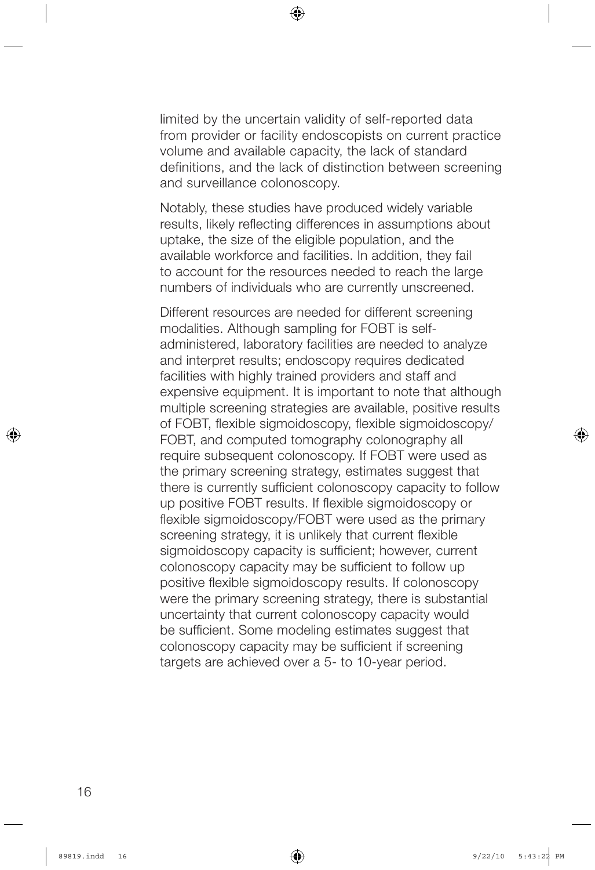limited by the uncertain validity of self-reported data from provider or facility endoscopists on current practice volume and available capacity, the lack of standard definitions, and the lack of distinction between screening and surveillance colonoscopy.

Notably, these studies have produced widely variable results, likely reflecting differences in assumptions about uptake, the size of the eligible population, and the available workforce and facilities. In addition, they fail to account for the resources needed to reach the large numbers of individuals who are currently unscreened.

Different resources are needed for different screening modalities. Although sampling for FOBT is selfadministered, laboratory facilities are needed to analyze and interpret results; endoscopy requires dedicated facilities with highly trained providers and staff and expensive equipment. It is important to note that although multiple screening strategies are available, positive results of FOBT, flexible sigmoidoscopy, flexible sigmoidoscopy/ FOBT, and computed tomography colonography all require subsequent colonoscopy. If FOBT were used as the primary screening strategy, estimates suggest that there is currently sufficient colonoscopy capacity to follow up positive FOBT results. If flexible sigmoidoscopy or flexible sigmoidoscopy/FOBT were used as the primary screening strategy, it is unlikely that current flexible sigmoidoscopy capacity is sufficient; however, current colonoscopy capacity may be sufficient to follow up positive flexible sigmoidoscopy results. If colonoscopy were the primary screening strategy, there is substantial uncertainty that current colonoscopy capacity would be sufficient. Some modeling estimates suggest that colonoscopy capacity may be sufficient if screening targets are achieved over a 5- to 10-year period.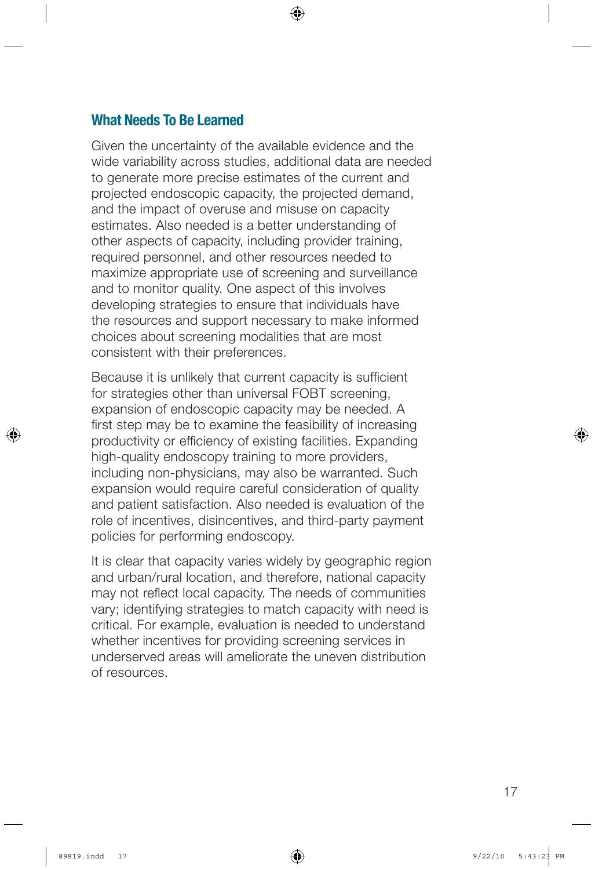### What Needs To Be Learned

Given the uncertainty of the available evidence and the wide variability across studies, additional data are needed to generate more precise estimates of the current and projected endoscopic capacity, the projected demand, and the impact of overuse and misuse on capacity estimates. Also needed is a better understanding of other aspects of capacity, including provider training, required personnel, and other resources needed to maximize appropriate use of screening and surveillance and to monitor quality. One aspect of this involves developing strategies to ensure that individuals have the resources and support necessary to make informed choices about screening modalities that are most consistent with their preferences.

Because it is unlikely that current capacity is sufficient for strategies other than universal FOBT screening, expansion of endoscopic capacity may be needed. A first step may be to examine the feasibility of increasing productivity or efficiency of existing facilities. Expanding high-quality endoscopy training to more providers, including non-physicians, may also be warranted. Such expansion would require careful consideration of quality and patient satisfaction. Also needed is evaluation of the role of incentives, disincentives, and third-party payment policies for performing endoscopy.

It is clear that capacity varies widely by geographic region and urban/rural location, and therefore, national capacity may not reflect local capacity. The needs of communities vary; identifying strategies to match capacity with need is critical. For example, evaluation is needed to understand whether incentives for providing screening services in underserved areas will ameliorate the uneven distribution of resources.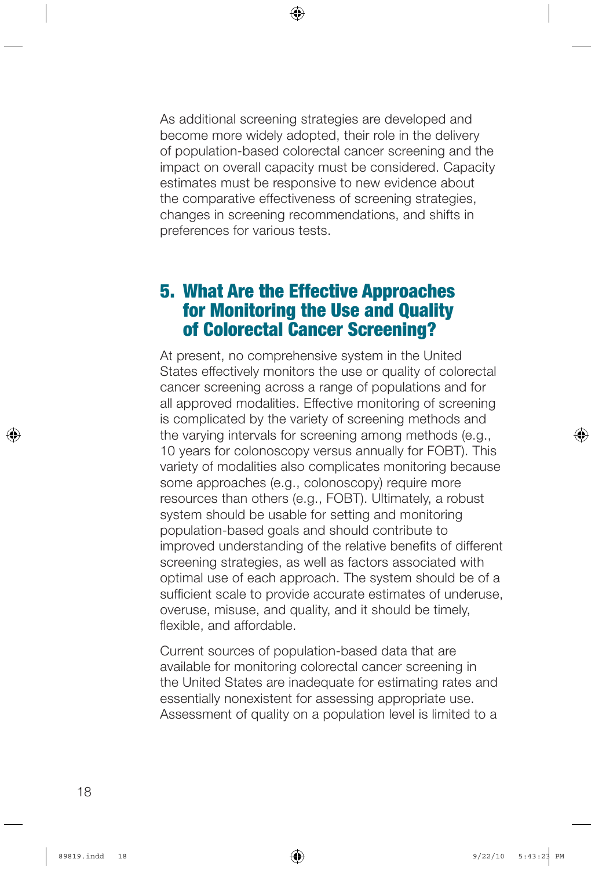As additional screening strategies are developed and become more widely adopted, their role in the delivery of population-based colorectal cancer screening and the impact on overall capacity must be considered. Capacity estimates must be responsive to new evidence about the comparative effectiveness of screening strategies, changes in screening recommendations, and shifts in preferences for various tests.

## 5. What Are the Effective Approaches for Monitoring the Use and Quality of Colorectal Cancer Screening?

At present, no comprehensive system in the United States effectively monitors the use or quality of colorectal cancer screening across a range of populations and for all approved modalities. Effective monitoring of screening is complicated by the variety of screening methods and the varying intervals for screening among methods (e.g., 10 years for colonoscopy versus annually for FOBT). This variety of modalities also complicates monitoring because some approaches (e.g., colonoscopy) require more resources than others (e.g., FOBT). Ultimately, a robust system should be usable for setting and monitoring population-based goals and should contribute to improved understanding of the relative benefits of different screening strategies, as well as factors associated with optimal use of each approach. The system should be of a sufficient scale to provide accurate estimates of underuse, overuse, misuse, and quality, and it should be timely, flexible, and affordable.

Current sources of population-based data that are available for monitoring colorectal cancer screening in the United States are inadequate for estimating rates and essentially nonexistent for assessing appropriate use. Assessment of quality on a population level is limited to a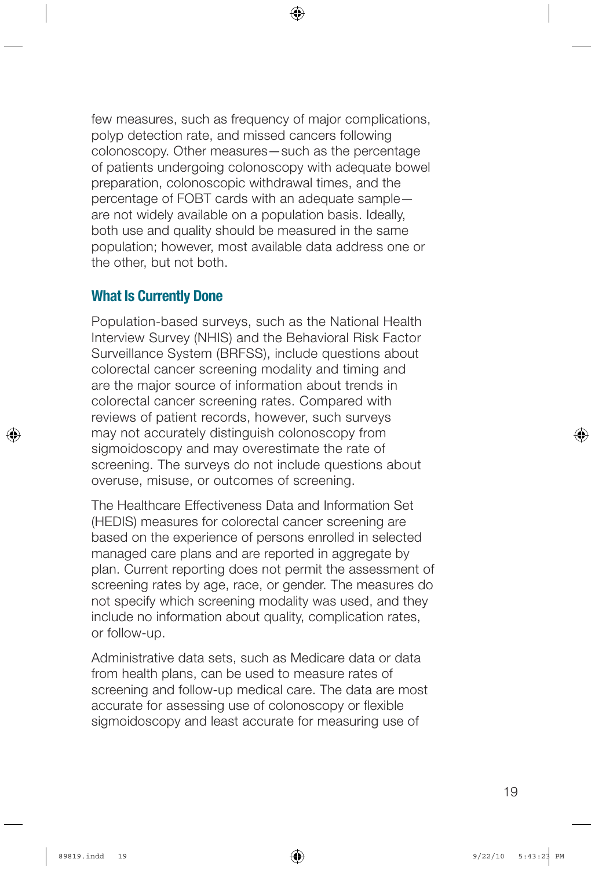few measures, such as frequency of major complications, polyp detection rate, and missed cancers following colonoscopy. Other measures—such as the percentage of patients undergoing colonoscopy with adequate bowel preparation, colonoscopic withdrawal times, and the percentage of FOBT cards with an adequate sample are not widely available on a population basis. Ideally, both use and quality should be measured in the same population; however, most available data address one or the other, but not both.

### What Is Currently Done

Population-based surveys, such as the National Health Interview Survey (NHIS) and the Behavioral Risk Factor Surveillance System (BRFSS), include questions about colorectal cancer screening modality and timing and are the major source of information about trends in colorectal cancer screening rates. Compared with reviews of patient records, however, such surveys may not accurately distinguish colonoscopy from sigmoidoscopy and may overestimate the rate of screening. The surveys do not include questions about overuse, misuse, or outcomes of screening.

The Healthcare Effectiveness Data and Information Set (HEDIS) measures for colorectal cancer screening are based on the experience of persons enrolled in selected managed care plans and are reported in aggregate by plan. Current reporting does not permit the assessment of screening rates by age, race, or gender. The measures do not specify which screening modality was used, and they include no information about quality, complication rates, or follow-up.

Administrative data sets, such as Medicare data or data from health plans, can be used to measure rates of screening and follow-up medical care. The data are most accurate for assessing use of colonoscopy or flexible sigmoidoscopy and least accurate for measuring use of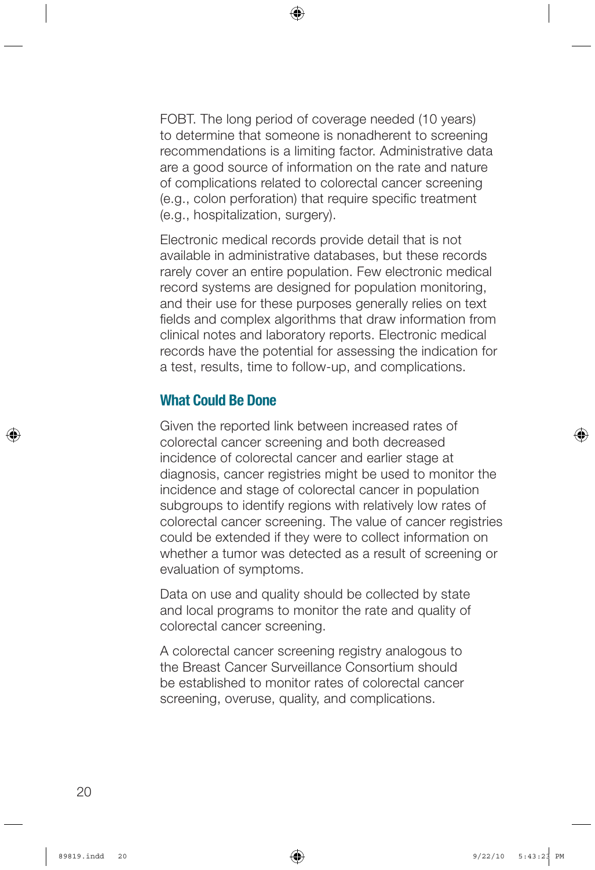FOBT. The long period of coverage needed (10 years) to determine that someone is nonadherent to screening recommendations is a limiting factor. Administrative data are a good source of information on the rate and nature of complications related to colorectal cancer screening (e.g., colon perforation) that require specific treatment (e.g., hospitalization, surgery).

Electronic medical records provide detail that is not available in administrative databases, but these records rarely cover an entire population. Few electronic medical record systems are designed for population monitoring, and their use for these purposes generally relies on text fields and complex algorithms that draw information from clinical notes and laboratory reports. Electronic medical records have the potential for assessing the indication for a test, results, time to follow-up, and complications.

## What Could Be Done

Given the reported link between increased rates of colorectal cancer screening and both decreased incidence of colorectal cancer and earlier stage at diagnosis, cancer registries might be used to monitor the incidence and stage of colorectal cancer in population subgroups to identify regions with relatively low rates of colorectal cancer screening. The value of cancer registries could be extended if they were to collect information on whether a tumor was detected as a result of screening or evaluation of symptoms.

Data on use and quality should be collected by state and local programs to monitor the rate and quality of colorectal cancer screening.

A colorectal cancer screening registry analogous to the Breast Cancer Surveillance Consortium should be established to monitor rates of colorectal cancer screening, overuse, quality, and complications.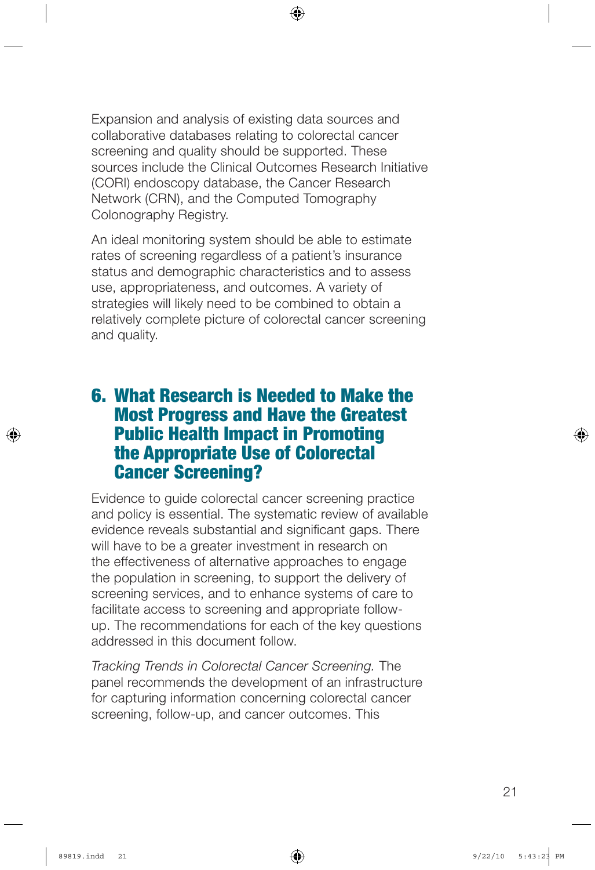Expansion and analysis of existing data sources and collaborative databases relating to colorectal cancer screening and quality should be supported. These sources include the Clinical Outcomes Research Initiative (CORI) endoscopy database, the Cancer Research Network (CRN), and the Computed Tomography Colonography Registry.

An ideal monitoring system should be able to estimate rates of screening regardless of a patient's insurance status and demographic characteristics and to assess use, appropriateness, and outcomes. A variety of strategies will likely need to be combined to obtain a relatively complete picture of colorectal cancer screening and quality.

## 6. What Research is Needed to Make the Most Progress and Have the Greatest Public Health Impact in Promoting the Appropriate Use of Colorectal Cancer Screening?

Evidence to guide colorectal cancer screening practice and policy is essential. The systematic review of available evidence reveals substantial and significant gaps. There will have to be a greater investment in research on the effectiveness of alternative approaches to engage the population in screening, to support the delivery of screening services, and to enhance systems of care to facilitate access to screening and appropriate followup. The recommendations for each of the key questions addressed in this document follow.

*Tracking Trends in Colorectal Cancer Screening.* The panel recommends the development of an infrastructure for capturing information concerning colorectal cancer screening, follow-up, and cancer outcomes. This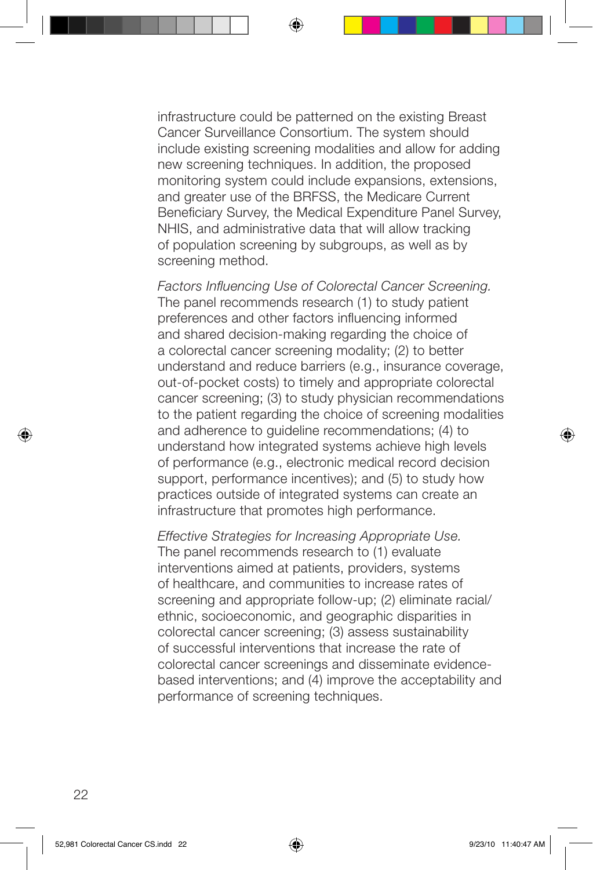infrastructure could be patterned on the existing Breast Cancer Surveillance Consortium. The system should include existing screening modalities and allow for adding new screening techniques. In addition, the proposed monitoring system could include expansions, extensions, and greater use of the BRFSS, the Medicare Current Beneficiary Survey, the Medical Expenditure Panel Survey, NHIS, and administrative data that will allow tracking of population screening by subgroups, as well as by screening method.

*Factors Influencing Use of Colorectal Cancer Screening.* The panel recommends research (1) to study patient preferences and other factors influencing informed and shared decision-making regarding the choice of a colorectal cancer screening modality; (2) to better understand and reduce barriers (e.g., insurance coverage, out-of-pocket costs) to timely and appropriate colorectal cancer screening; (3) to study physician recommendations to the patient regarding the choice of screening modalities and adherence to guideline recommendations; (4) to understand how integrated systems achieve high levels of performance (e.g., electronic medical record decision support, performance incentives); and (5) to study how practices outside of integrated systems can create an infrastructure that promotes high performance.

*Effective Strategies for Increasing Appropriate Use.* The panel recommends research to (1) evaluate interventions aimed at patients, providers, systems of healthcare, and communities to increase rates of screening and appropriate follow-up; (2) eliminate racial/ ethnic, socioeconomic, and geographic disparities in colorectal cancer screening; (3) assess sustainability of successful interventions that increase the rate of colorectal cancer screenings and disseminate evidencebased interventions; and (4) improve the acceptability and performance of screening techniques.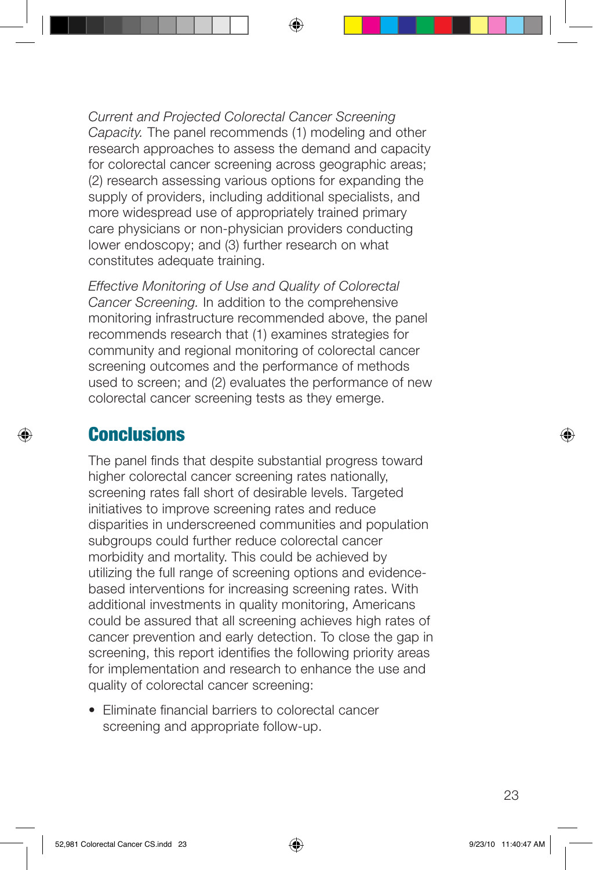*Current and Projected Colorectal Cancer Screening Capacity.* The panel recommends (1) modeling and other research approaches to assess the demand and capacity for colorectal cancer screening across geographic areas; (2) research assessing various options for expanding the supply of providers, including additional specialists, and more widespread use of appropriately trained primary care physicians or non-physician providers conducting lower endoscopy; and (3) further research on what constitutes adequate training.

*Effective Monitoring of Use and Quality of Colorectal Cancer Screening.* In addition to the comprehensive monitoring infrastructure recommended above, the panel recommends research that (1) examines strategies for community and regional monitoring of colorectal cancer screening outcomes and the performance of methods used to screen; and (2) evaluates the performance of new colorectal cancer screening tests as they emerge.

## **Conclusions**

The panel finds that despite substantial progress toward higher colorectal cancer screening rates nationally, screening rates fall short of desirable levels. Targeted initiatives to improve screening rates and reduce disparities in underscreened communities and population subgroups could further reduce colorectal cancer morbidity and mortality. This could be achieved by utilizing the full range of screening options and evidencebased interventions for increasing screening rates. With additional investments in quality monitoring, Americans could be assured that all screening achieves high rates of cancer prevention and early detection. To close the gap in screening, this report identifies the following priority areas for implementation and research to enhance the use and quality of colorectal cancer screening:

• Eliminate financial barriers to colorectal cancer screening and appropriate follow-up.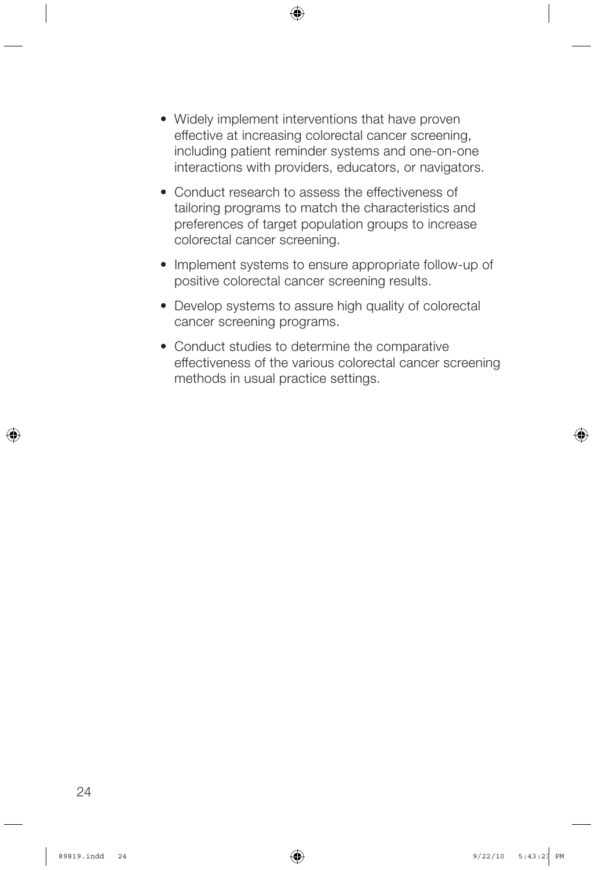- Widely implement interventions that have proven effective at increasing colorectal cancer screening, including patient reminder systems and one-on-one interactions with providers, educators, or navigators.
- Conduct research to assess the effectiveness of tailoring programs to match the characteristics and preferences of target population groups to increase colorectal cancer screening.
- Implement systems to ensure appropriate follow-up of positive colorectal cancer screening results.
- Develop systems to assure high quality of colorectal cancer screening programs.
- Conduct studies to determine the comparative effectiveness of the various colorectal cancer screening methods in usual practice settings.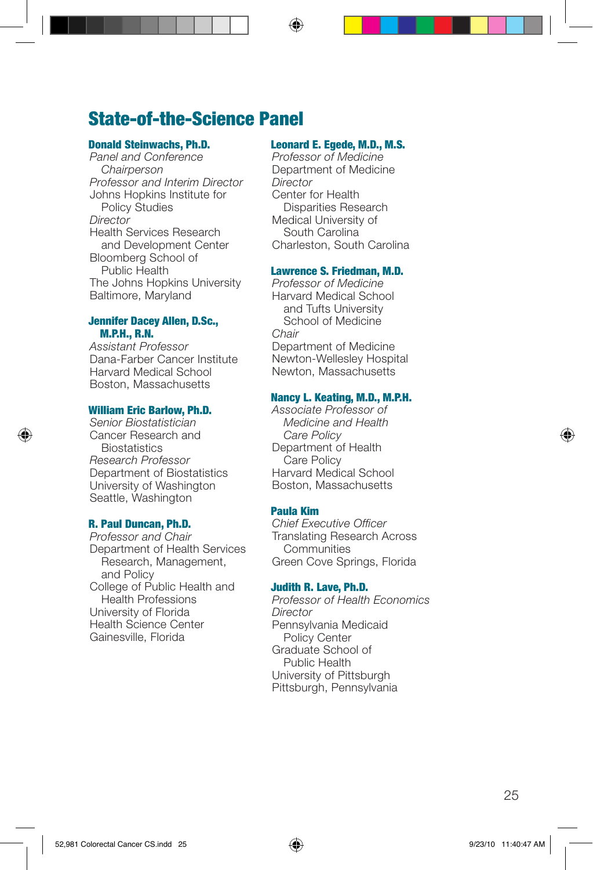## State-of-the-Science Panel

#### Donald Steinwachs, Ph.D.

*Panel and Conference Chairperson Professor and Interim Director* Johns Hopkins Institute for Policy Studies *Director* Health Services Research and Development Center Bloomberg School of Public Health The Johns Hopkins University Baltimore, Maryland

#### Jennifer Dacey Allen, D.Sc., M.P.H., R.N.

*Assistant Professor* Dana-Farber Cancer Institute Harvard Medical School Boston, Massachusetts

#### William Eric Barlow, Ph.D.

*Senior Biostatistician* Cancer Research and **Biostatistics** *Research Professor* Department of Biostatistics University of Washington Seattle, Washington

#### R. Paul Duncan, Ph.D.

*Professor and Chair* Department of Health Services Research, Management, and Policy College of Public Health and Health Professions University of Florida Health Science Center Gainesville, Florida

#### Leonard E. Egede, M.D., M.S.

*Professor of Medicine* Department of Medicine *Director* Center for Health Disparities Research Medical University of South Carolina Charleston, South Carolina

#### Lawrence S. Friedman, M.D.

*Professor of Medicine* Harvard Medical School and Tufts University School of Medicine *Chair* Department of Medicine Newton-Wellesley Hospital Newton, Massachusetts

#### Nancy L. Keating, M.D., M.P.H.

*Associate Professor of Medicine and Health Care Policy* Department of Health Care Policy Harvard Medical School Boston, Massachusetts

#### Paula Kim

*Chief Executive Officer* Translating Research Across **Communities** Green Cove Springs, Florida

#### Judith R. Lave, Ph.D.

*Professor of Health Economics Director* Pennsylvania Medicaid Policy Center Graduate School of Public Health University of Pittsburgh Pittsburgh, Pennsylvania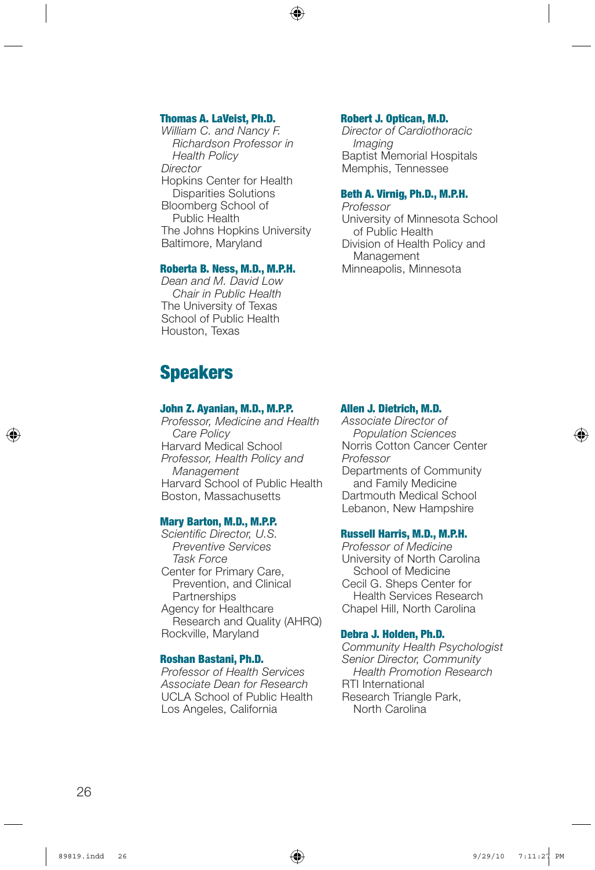#### Thomas A. LaVeist, Ph.D.

*William C. and Nancy F. Richardson Professor in Health Policy Director* Hopkins Center for Health Disparities Solutions Bloomberg School of Public Health The Johns Hopkins University Baltimore, Maryland

#### Roberta B. Ness, M.D., M.P.H.

*Dean and M. David Low Chair in Public Health* The University of Texas School of Public Health Houston, Texas

## Speakers

#### John Z. Ayanian, M.D., M.P.P.

*Professor, Medicine and Health Care Policy* Harvard Medical School *Professor, Health Policy and Management* Harvard School of Public Health Boston, Massachusetts

#### Mary Barton, M.D., M.P.P.

*Scientific Director, U.S. Preventive Services Task Force* Center for Primary Care, Prevention, and Clinical **Partnerships** Agency for Healthcare Research and Quality (AHRQ) Rockville, Maryland

#### Roshan Bastani, Ph.D.

*Professor of Health Services Associate Dean for Research* UCLA School of Public Health Los Angeles, California

#### Robert J. Optican, M.D.

*Director of Cardiothoracic Imaging* Baptist Memorial Hospitals Memphis, Tennessee

#### Beth A. Virnig, Ph.D., M.P.H.

*Professor* University of Minnesota School of Public Health Division of Health Policy and Management Minneapolis, Minnesota

#### Allen J. Dietrich, M.D.

*Associate Director of Population Sciences* Norris Cotton Cancer Center *Professor* Departments of Community and Family Medicine Dartmouth Medical School Lebanon, New Hampshire

#### Russell Harris, M.D., M.P.H.

*Professor of Medicine* University of North Carolina School of Medicine Cecil G. Sheps Center for Health Services Research Chapel Hill, North Carolina

#### Debra J. Holden, Ph.D.

*Community Health Psychologist Senior Director, Community Health Promotion Research* RTI International Research Triangle Park, North Carolina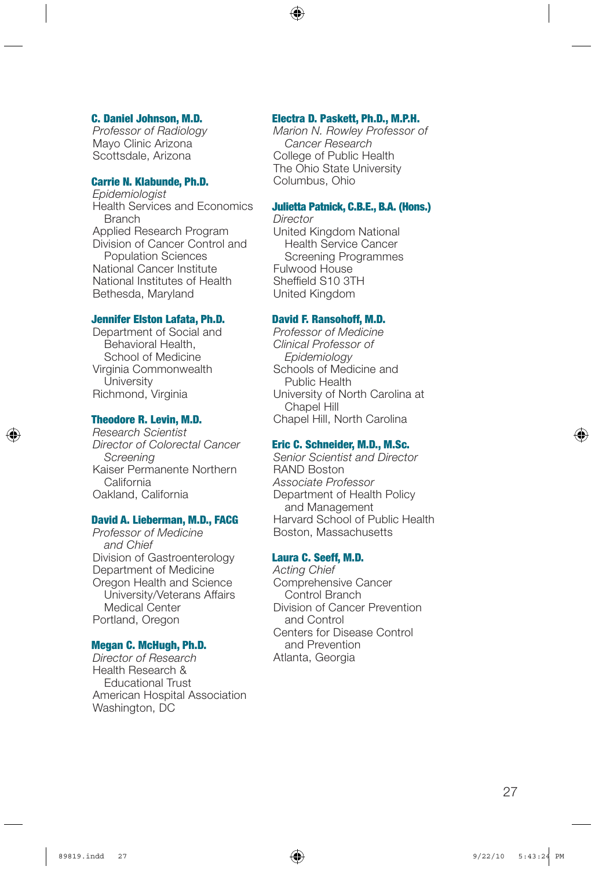#### C. Daniel Johnson, M.D.

*Professor of Radiology* Mayo Clinic Arizona Scottsdale, Arizona

#### Carrie N. Klabunde, Ph.D.

*Epidemiologist* Health Services and Economics Branch Applied Research Program Division of Cancer Control and Population Sciences National Cancer Institute National Institutes of Health Bethesda, Maryland

#### Jennifer Elston Lafata, Ph.D.

Department of Social and Behavioral Health, School of Medicine Virginia Commonwealth **University** Richmond, Virginia

#### Theodore R. Levin, M.D.

*Research Scientist Director of Colorectal Cancer Screening* Kaiser Permanente Northern California Oakland, California

#### David A. Lieberman, M.D., FACG

*Professor of Medicine and Chief* Division of Gastroenterology Department of Medicine Oregon Health and Science University/Veterans Affairs Medical Center Portland, Oregon

#### Megan C. McHugh, Ph.D.

*Director of Research* Health Research & Educational Trust American Hospital Association Washington, DC

#### Electra D. Paskett, Ph.D., M.P.H.

*Marion N. Rowley Professor of Cancer Research* College of Public Health The Ohio State University Columbus, Ohio

#### Julietta Patnick, C.B.E., B.A. (Hons.)

*Director* United Kingdom National Health Service Cancer Screening Programmes Fulwood House Sheffield S10 3TH United Kingdom

#### David F. Ransohoff, M.D.

*Professor of Medicine Clinical Professor of Epidemiology* Schools of Medicine and Public Health University of North Carolina at Chapel Hill Chapel Hill, North Carolina

#### Eric C. Schneider, M.D., M.Sc.

*Senior Scientist and Director* RAND Boston *Associate Professor* Department of Health Policy and Management Harvard School of Public Health Boston, Massachusetts

#### Laura C. Seeff, M.D.

*Acting Chief* Comprehensive Cancer Control Branch Division of Cancer Prevention and Control Centers for Disease Control and Prevention Atlanta, Georgia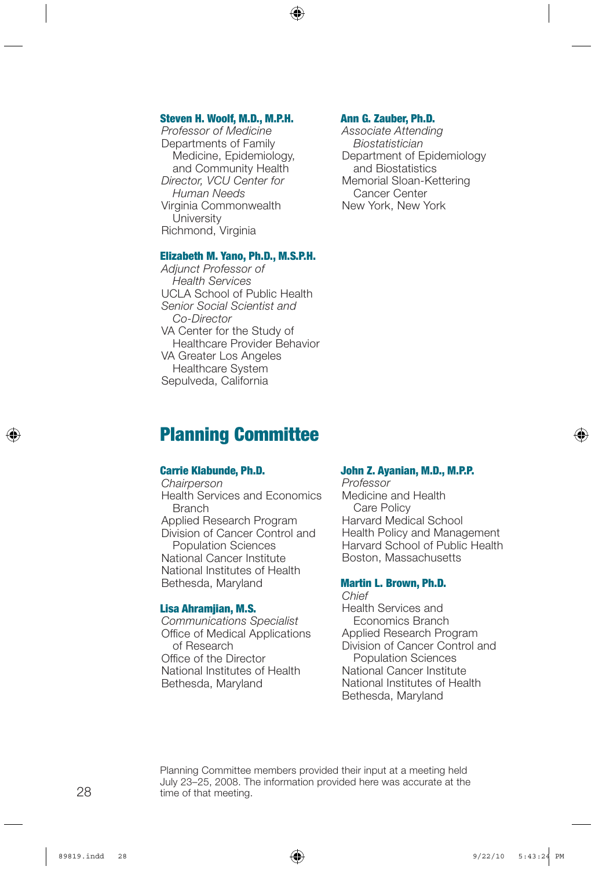#### Steven H. Woolf, M.D., M.P.H.

*Professor of Medicine* Departments of Family Medicine, Epidemiology, and Community Health *Director, VCU Center for Human Needs* Virginia Commonwealth **University** Richmond, Virginia

#### Ann G. Zauber, Ph.D.

*Associate Attending Biostatistician* Department of Epidemiology and Biostatistics Memorial Sloan-Kettering Cancer Center New York, New York

#### Elizabeth M. Yano, Ph.D., M.S.P.H.

*Adjunct Professor of Health Services* UCLA School of Public Health *Senior Social Scientist and Co-Director* VA Center for the Study of Healthcare Provider Behavior VA Greater Los Angeles Healthcare System Sepulveda, California

## Planning Committee

#### Carrie Klabunde, Ph.D.

*Chairperson* Health Services and Economics **Branch** Applied Research Program Division of Cancer Control and Population Sciences National Cancer Institute National Institutes of Health Bethesda, Maryland

#### Lisa Ahramjian, M.S.

*Communications Specialist* Office of Medical Applications of Research Office of the Director National Institutes of Health Bethesda, Maryland

#### John Z. Ayanian, M.D., M.P.P.

*Professor* Medicine and Health Care Policy Harvard Medical School Health Policy and Management Harvard School of Public Health Boston, Massachusetts

#### Martin L. Brown, Ph.D.

*Chief* Health Services and Economics Branch Applied Research Program Division of Cancer Control and Population Sciences National Cancer Institute National Institutes of Health Bethesda, Maryland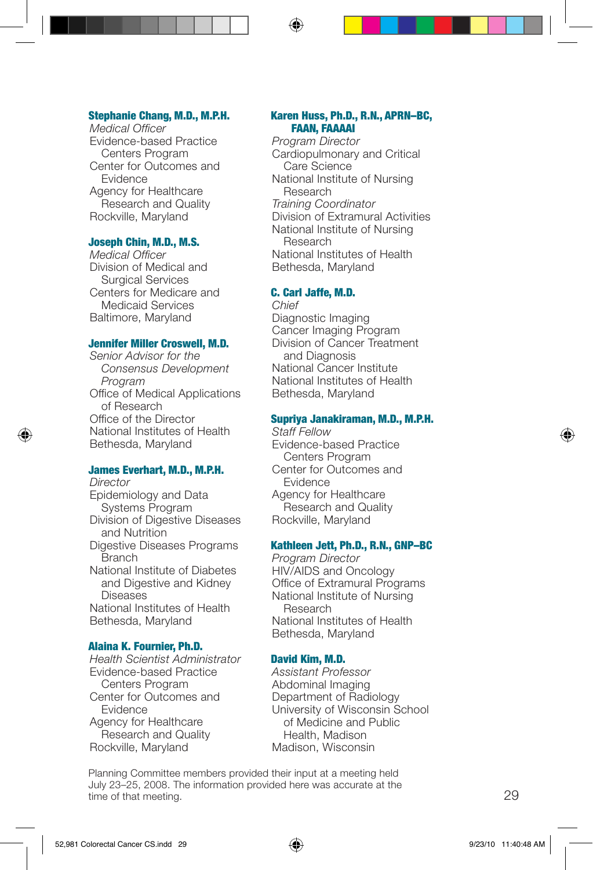#### Stephanie Chang, M.D., M.P.H.

*Medical Officer* Evidence-based Practice Centers Program Center for Outcomes and Evidence Agency for Healthcare Research and Quality Rockville, Maryland

#### Joseph Chin, M.D., M.S.

*Medical Officer* Division of Medical and Surgical Services Centers for Medicare and Medicaid Services Baltimore, Maryland

#### Jennifer Miller Croswell, M.D.

*Senior Advisor for the Consensus Development Program* Office of Medical Applications of Research Office of the Director National Institutes of Health Bethesda, Maryland

#### James Everhart, M.D., M.P.H.

*Director* Epidemiology and Data Systems Program Division of Digestive Diseases and Nutrition Digestive Diseases Programs **Branch** National Institute of Diabetes and Digestive and Kidney **Diseases** National Institutes of Health Bethesda, Maryland

#### Alaina K. Fournier, Ph.D.

*Health Scientist Administrator* Evidence-based Practice Centers Program Center for Outcomes and Evidence Agency for Healthcare Research and Quality Rockville, Maryland

#### Karen Huss, Ph.D., R.N., APRN–BC, FAAN, FAAAAI

*Program Director* Cardiopulmonary and Critical Care Science National Institute of Nursing Research *Training Coordinator* Division of Extramural Activities National Institute of Nursing Research National Institutes of Health Bethesda, Maryland

#### C. Carl Jaffe, M.D.

*Chief* Diagnostic Imaging Cancer Imaging Program Division of Cancer Treatment and Diagnosis National Cancer Institute National Institutes of Health Bethesda, Maryland

#### Supriya Janakiraman, M.D., M.P.H.

*Staff Fellow* Evidence-based Practice Centers Program Center for Outcomes and **Evidence** Agency for Healthcare Research and Quality Rockville, Maryland

#### Kathleen Jett, Ph.D., R.N., GNP–BC

*Program Director* HIV/AIDS and Oncology Office of Extramural Programs National Institute of Nursing Research National Institutes of Health Bethesda, Maryland

#### David Kim, M.D.

*Assistant Professor* Abdominal Imaging Department of Radiology University of Wisconsin School of Medicine and Public Health, Madison Madison, Wisconsin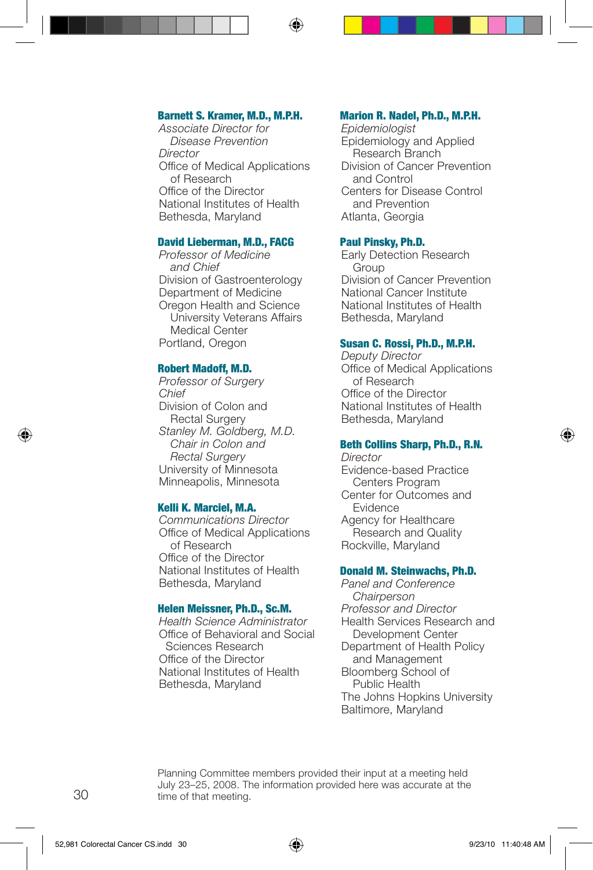#### Barnett S. Kramer, M.D., M.P.H.

*Associate Director for Disease Prevention Director* Office of Medical Applications of Research Office of the Director National Institutes of Health Bethesda, Maryland

#### David Lieberman, M.D., FACG

*Professor of Medicine and Chief* Division of Gastroenterology Department of Medicine Oregon Health and Science University Veterans Affairs Medical Center Portland, Oregon

#### Robert Madoff, M.D.

*Professor of Surgery Chief* Division of Colon and Rectal Surgery *Stanley M. Goldberg, M.D. Chair in Colon and Rectal Surgery* University of Minnesota Minneapolis, Minnesota

#### Kelli K. Marciel, M.A.

*Communications Director* Office of Medical Applications of Research Office of the Director National Institutes of Health Bethesda, Maryland

#### Helen Meissner, Ph.D., Sc.M.

*Health Science Administrator* Office of Behavioral and Social Sciences Research Office of the Director National Institutes of Health Bethesda, Maryland

#### Marion R. Nadel, Ph.D., M.P.H.

*Epidemiologist* Epidemiology and Applied Research Branch Division of Cancer Prevention and Control Centers for Disease Control and Prevention Atlanta, Georgia

#### Paul Pinsky, Ph.D.

Early Detection Research **Group** Division of Cancer Prevention National Cancer Institute National Institutes of Health Bethesda, Maryland

#### Susan C. Rossi, Ph.D., M.P.H.

*Deputy Director* Office of Medical Applications of Research Office of the Director National Institutes of Health Bethesda, Maryland

#### Beth Collins Sharp, Ph.D., R.N.

*Director* Evidence-based Practice Centers Program Center for Outcomes and Evidence Agency for Healthcare Research and Quality Rockville, Maryland

#### Donald M. Steinwachs, Ph.D.

*Panel and Conference Chairperson Professor and Director* Health Services Research and Development Center Department of Health Policy and Management Bloomberg School of Public Health The Johns Hopkins University Baltimore, Maryland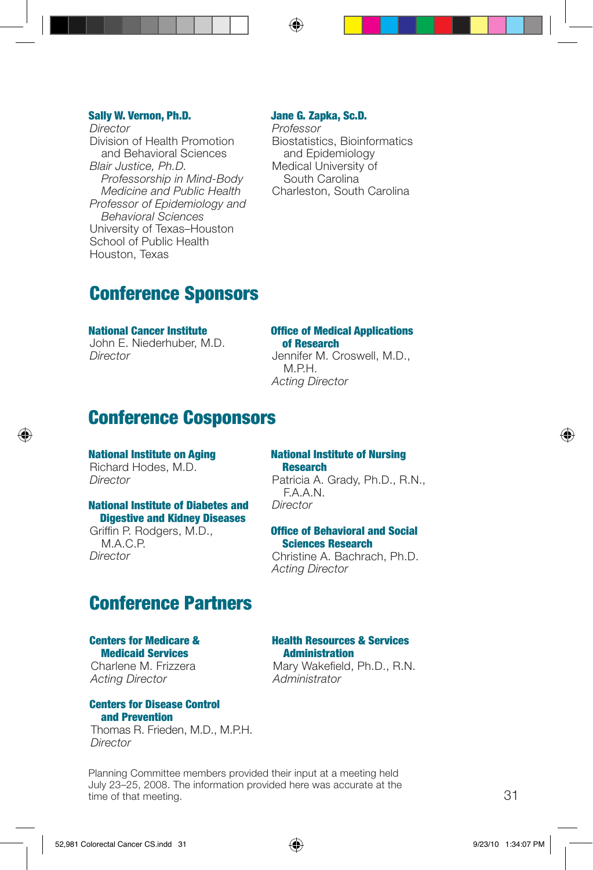#### Sally W. Vernon, Ph.D.

*Director* Division of Health Promotion and Behavioral Sciences *Blair Justice, Ph.D. Professorship in Mind-Body Medicine and Public Health Professor of Epidemiology and Behavioral Sciences* University of Texas–Houston School of Public Health Houston, Texas

#### Jane G. Zapka, Sc.D.

*Professor* Biostatistics, Bioinformatics and Epidemiology Medical University of South Carolina Charleston, South Carolina

## Conference Sponsors

National Cancer Institute John E. Niederhuber, M.D. *Director*

#### Office of Medical Applications of Research

Jennifer M. Croswell, M.D., M.P.H. *Acting Director*

## Conference Cosponsors

National Institute on Aging Richard Hodes, M.D. *Director*

#### National Institute of Diabetes and Digestive and Kidney Diseases

Griffin P. Rodgers, M.D., M.A.C.P. *Director*

#### National Institute of Nursing **Research**

Patricia A. Grady, Ph.D., R.N., F.A.A.N. *Director*

#### Office of Behavioral and Social Sciences Research

Christine A. Bachrach, Ph.D. *Acting Director*

## Conference Partners

#### Centers for Medicare & Medicaid Services

Charlene M. Frizzera *Acting Director*

#### Centers for Disease Control and Prevention

Thomas R. Frieden, M.D., M.P.H. *Director*

Mary Wakefield, Ph.D., R.N. *Administrator*

Health Resources & Services **Administration**